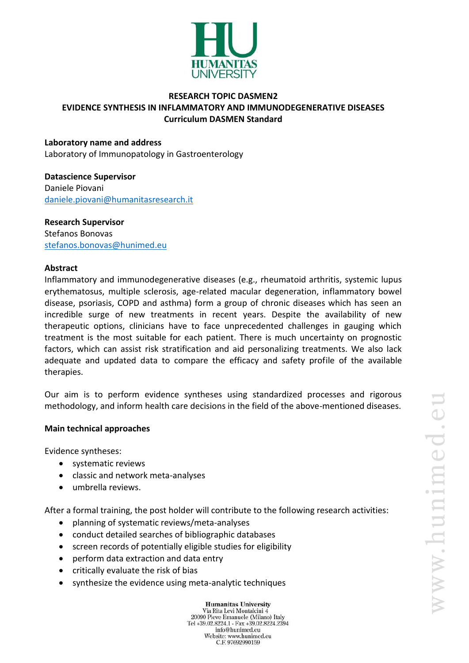

## **RESEARCH TOPIC DASMEN2 EVIDENCE SYNTHESIS IN INFLAMMATORY AND IMMUNODEGENERATIVE DISEASES Curriculum DASMEN Standard**

#### **Laboratory name and address**

Laboratory of Immunopatology in Gastroenterology

**Datascience Supervisor** Daniele Piovani [daniele.piovani@humanitasresearch.it](mailto:daniele.piovani@humanitasresearch.it)

# **Research Supervisor**

Stefanos Bonovas [stefanos.bonovas@hunimed.eu](mailto:stefanos.bonovas@hunimed.eu)

#### **Abstract**

Inflammatory and immunodegenerative diseases (e.g., rheumatoid arthritis, systemic lupus erythematosus, multiple sclerosis, age-related macular degeneration, inflammatory bowel disease, psoriasis, COPD and asthma) form a group of chronic diseases which has seen an incredible surge of new treatments in recent years. Despite the availability of new therapeutic options, clinicians have to face unprecedented challenges in gauging which treatment is the most suitable for each patient. There is much uncertainty on prognostic factors, which can assist risk stratification and aid personalizing treatments. We also lack adequate and updated data to compare the efficacy and safety profile of the available therapies.

Our aim is to perform evidence syntheses using standardized processes and rigorous methodology, and inform health care decisions in the field of the above-mentioned diseases.

#### **Main technical approaches**

Evidence syntheses:

- systematic reviews
- classic and network meta-analyses
- umbrella reviews.

After a formal training, the post holder will contribute to the following research activities:

- planning of systematic reviews/meta-analyses
- conduct detailed searches of bibliographic databases
- screen records of potentially eligible studies for eligibility
- perform data extraction and data entry
- critically evaluate the risk of bias
- synthesize the evidence using meta-analytic techniques

**Humanitas University** Via Rita Levi Montalcini 4 20090 Pieve Emanuele (Milano) Italy Tel +39.02.8224.1 - Fax +39.02.8224.2394 info@hunimed.eu Website: www.hunimed.eu C.F. 97692990159